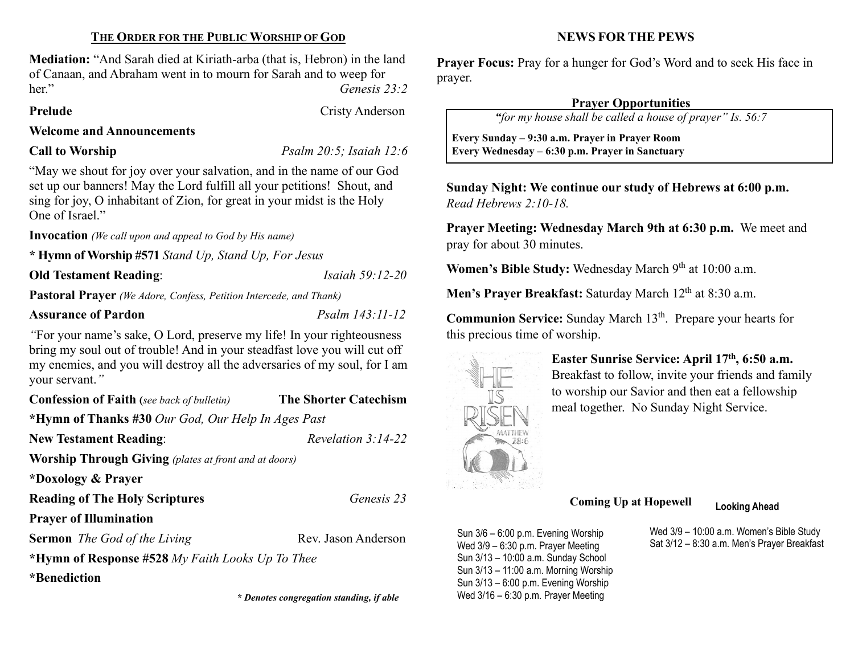#### THE ORDER FOR THE PUBLIC WORSHIP OF GOD

Mediation: "And Sarah died at Kiriath-arba (that is, Hebron) in the land of Canaan, and Abraham went in to mourn for Sarah and to weep for her." Genesis 23:2

#### Prelude Cristy Anderson

Welcome and Announcements

Call to Worship *Psalm 20:5; Isaiah 12:6* 

"May we shout for joy over your salvation, and in the name of our God set up our banners! May the Lord fulfill all your petitions! Shout, and sing for joy, O inhabitant of Zion, for great in your midst is the Holy One of Israel."

Invocation (We call upon and appeal to God by His name)

\* Hymn of Worship #571 Stand Up, Stand Up, For Jesus

**Old Testament Reading:** *Isaiah 59:12-20* 

 $\overline{\phantom{a}}$ 

Pastoral Prayer (We Adore, Confess, Petition Intercede, and Thank)

# Assurance of Pardon Psalm 143:11-12

"For your name's sake, O Lord, preserve my life! In your righteousness bring my soul out of trouble! And in your steadfast love you will cut off my enemies, and you will destroy all the adversaries of my soul, for I am your servant."

| <b>Confession of Faith</b> (see back of bulletin)            | <b>The Shorter Catechism</b> |  |  |
|--------------------------------------------------------------|------------------------------|--|--|
| *Hymn of Thanks #30 Our God, Our Help In Ages Past           |                              |  |  |
| <b>New Testament Reading:</b>                                | Revelation $3:14-22$         |  |  |
| <b>Worship Through Giving</b> (plates at front and at doors) |                              |  |  |
| *Doxology & Prayer                                           |                              |  |  |
| <b>Reading of The Holy Scriptures</b>                        | Genesis 23                   |  |  |
| <b>Prayer of Illumination</b>                                |                              |  |  |
| <b>Sermon</b> The God of the Living                          | Rev. Jason Anderson          |  |  |
| *Hymn of Response #528 My Faith Looks Up To Thee             |                              |  |  |
| *Benediction                                                 |                              |  |  |

# NEWS FOR THE PEWS

Prayer Focus: Pray for a hunger for God's Word and to seek His face in prayer.

#### Prayer Opportunities

"for my house shall be called a house of prayer" Is. 56:7

 Every Sunday – 9:30 a.m. Prayer in Prayer Room Every Wednesday – 6:30 p.m. Prayer in Sanctuary

Sunday Night: We continue our study of Hebrews at 6:00 p.m. Read Hebrews 2:10-18.

Prayer Meeting: Wednesday March 9th at 6:30 p.m. We meet and pray for about 30 minutes.

Women's Bible Study: Wednesday March 9<sup>th</sup> at 10:00 a.m.

Men's Prayer Breakfast: Saturday March 12<sup>th</sup> at 8:30 a.m.

Communion Service: Sunday March 13<sup>th</sup>. Prepare your hearts for this precious time of worship.



Easter Sunrise Service: April 17th, 6:50 a.m. Breakfast to follow, invite your friends and family to worship our Savior and then eat a fellowship meal together. No Sunday Night Service.

Coming Up at Hopewell Looking Ahead

Sun 3/6 – 6:00 p.m. Evening Worship Wed 3/9 – 6:30 p.m. Prayer Meeting Sun 3/13 – 10:00 a.m. Sunday School Sun 3/13 – 11:00 a.m. Morning Worship Sun 3/13 – 6:00 p.m. Evening Worship \* Denotes congregation standing, if able Wed 3/16 - 6:30 p.m. Prayer Meeting

Wed 3/9 – 10:00 a.m. Women's Bible Study Sat 3/12 – 8:30 a.m. Men's Prayer Breakfast